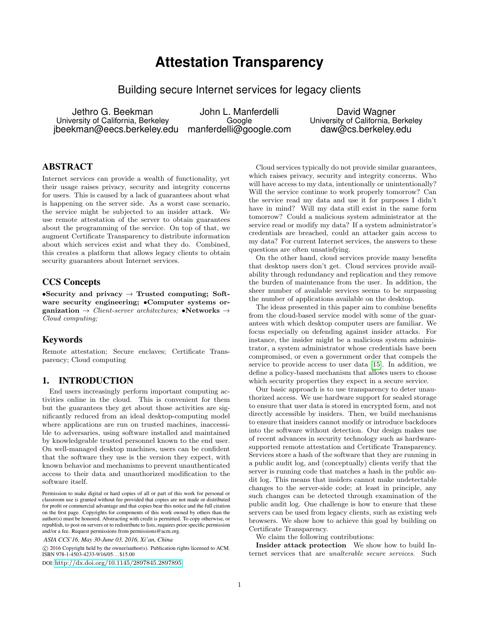# **Attestation Transparency**

Building secure Internet services for legacy clients

Jethro G. Beekman University of California, Berkeley jbeekman@eecs.berkeley.edu manferdelli@google.com

John L. Manferdelli **Google** 

David Wagner University of California, Berkeley daw@cs.berkeley.edu

# ABSTRACT

Internet services can provide a wealth of functionality, yet their usage raises privacy, security and integrity concerns for users. This is caused by a lack of guarantees about what is happening on the server side. As a worst case scenario, the service might be subjected to an insider attack. We use remote attestation of the server to obtain guarantees about the programming of the service. On top of that, we augment Certificate Transparency to distribute information about which services exist and what they do. Combined, this creates a platform that allows legacy clients to obtain security guarantees about Internet services.

## CCS Concepts

•Security and privacy  $\rightarrow$  Trusted computing; Software security engineering; •Computer systems organization  $\rightarrow$  Client-server architectures; •Networks  $\rightarrow$ Cloud computing;

## Keywords

Remote attestation; Secure enclaves; Certificate Transparency; Cloud computing

## 1. INTRODUCTION

End users increasingly perform important computing activities online in the cloud. This is convenient for them but the guarantees they get about those activities are significantly reduced from an ideal desktop-computing model where applications are run on trusted machines, inaccessible to adversaries, using software installed and maintained by knowledgeable trusted personnel known to the end user. On well-managed desktop machines, users can be confident that the software they use is the version they expect, with known behavior and mechanisms to prevent unauthenticated access to their data and unauthorized modification to the software itself.

*ASIA CCS'16, May 30-June 03, 2016, Xi'an, China*

 c 2016 Copyright held by the owner/author(s). Publication rights licensed to ACM. ISBN 978-1-4503-4233-9/16/05. . . \$15.00

DOI: <http://dx.doi.org/10.1145/2897845.2897895>

Cloud services typically do not provide similar guarantees, which raises privacy, security and integrity concerns. Who will have access to my data, intentionally or unintentionally? Will the service continue to work properly tomorrow? Can the service read my data and use it for purposes I didn't have in mind? Will my data still exist in the same form tomorrow? Could a malicious system administrator at the service read or modify my data? If a system administrator's credentials are breached, could an attacker gain access to my data? For current Internet services, the answers to these questions are often unsatisfying.

On the other hand, cloud services provide many benefits that desktop users don't get. Cloud services provide availability through redundancy and replication and they remove the burden of maintenance from the user. In addition, the sheer number of available services seems to be surpassing the number of applications available on the desktop.

The ideas presented in this paper aim to combine benefits from the cloud-based service model with some of the guarantees with which desktop computer users are familiar. We focus especially on defending against insider attacks. For instance, the insider might be a malicious system administrator, a system administrator whose credentials have been compromised, or even a government order that compels the service to provide access to user data [\[15\]](#page-11-0). In addition, we define a policy-based mechanism that allows users to choose which security properties they expect in a secure service.

Our basic approach is to use transparency to deter unauthorized access. We use hardware support for sealed storage to ensure that user data is stored in encrypted form, and not directly accessible by insiders. Then, we build mechanisms to ensure that insiders cannot modify or introduce backdoors into the software without detection. Our design makes use of recent advances in security technology such as hardwaresupported remote attestation and Certificate Transparency. Services store a hash of the software that they are running in a public audit log, and (conceptually) clients verify that the server is running code that matches a hash in the public audit log. This means that insiders cannot make undetectable changes to the server-side code; at least in principle, any such changes can be detected through examination of the public audit log. One challenge is how to ensure that these servers can be used from legacy clients, such as existing web browsers. We show how to achieve this goal by building on Certificate Transparency.

We claim the following contributions:

Insider attack protection We show how to build Internet services that are unalterable secure services. Such

Permission to make digital or hard copies of all or part of this work for personal or classroom use is granted without fee provided that copies are not made or distributed for profit or commercial advantage and that copies bear this notice and the full citation on the first page. Copyrights for components of this work owned by others than the author(s) must be honored. Abstracting with credit is permitted. To copy otherwise, or republish, to post on servers or to redistribute to lists, requires prior specific permission and/or a fee. Request permissions from permissions@acm.org.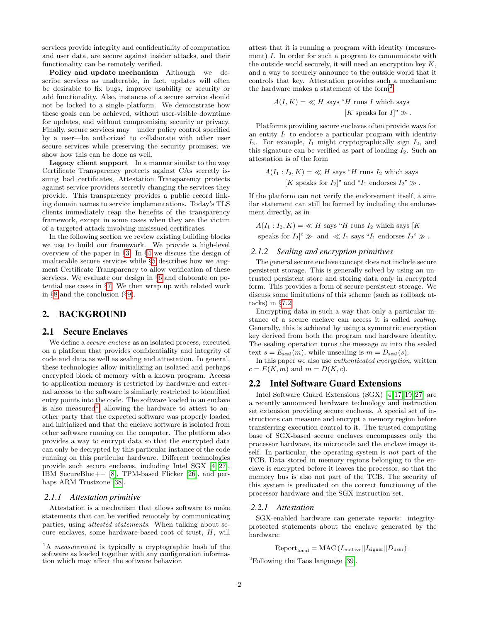services provide integrity and confidentiality of computation and user data, are secure against insider attacks, and their functionality can be remotely verified.

Policy and update mechanism Although we describe services as unalterable, in fact, updates will often be desirable to fix bugs, improve usability or security or add functionality. Also, instances of a secure service should not be locked to a single platform. We demonstrate how these goals can be achieved, without user-visible downtime for updates, and without compromising security or privacy. Finally, secure services may—under policy control specified by a user—be authorized to collaborate with other user secure services while preserving the security promises; we show how this can be done as well.

Legacy client support In a manner similar to the way Certificate Transparency protects against CAs secretly issuing bad certificates, Attestation Transparency protects against service providers secretly changing the services they provide. This transparency provides a public record linking domain names to service implementations. Today's TLS clients immediately reap the benefits of the transparency framework, except in some cases when they are the victim of a targeted attack involving misissued certificates.

In the following section we review existing building blocks we use to build our framework. We provide a high-level overview of the paper in §[3.](#page-2-0) In §[4](#page-4-0) we discuss the design of unalterable secure services while §[5](#page-5-0) describes how we augment Certificate Transparency to allow verification of these services. We evaluate our design in §[6](#page-8-0) and elaborate on potential use cases in §[7.](#page-9-0) We then wrap up with related work in §[8](#page-10-0) and the conclusion (§[9\)](#page-11-1).

# 2. BACKGROUND

## 2.1 Secure Enclaves

We define a secure enclave as an isolated process, executed on a platform that provides confidentiality and integrity of code and data as well as sealing and attestation. In general, these technologies allow initializing an isolated and perhaps encrypted block of memory with a known program. Access to application memory is restricted by hardware and external access to the software is similarly restricted to identified entry points into the code. The software loaded in an enclave is also measured<sup>[1](#page-1-0)</sup>, allowing the hardware to attest to another party that the expected software was properly loaded and initialized and that the enclave software is isolated from other software running on the computer. The platform also provides a way to encrypt data so that the encrypted data can only be decrypted by this particular instance of the code running on this particular hardware. Different technologies provide such secure enclaves, including Intel SGX [\[4,](#page-11-2) [27\]](#page-12-0), IBM SecureBlue++ [\[8\]](#page-11-3), TPM-based Flicker [\[26\]](#page-12-1), and per-haps ARM Trustzone [\[38\]](#page-12-2).

#### *2.1.1 Attestation primitive*

Attestation is a mechanism that allows software to make statements that can be verified remotely by communicating parties, using attested statements. When talking about secure enclaves, some hardware-based root of trust, H, will

attest that it is running a program with identity (measurement) I. In order for such a program to communicate with the outside world securely, it will need an encryption key  $K$ , and a way to securely announce to the outside world that it controls that key. Attestation provides such a mechanism: the hardware makes a statement of the form<sup>[2](#page-1-1)</sup>

$$
A(I, K) = \ll H
$$
 says "H runs I which says  
[K speaks for I]"  $\gg$ .

Platforms providing secure enclaves often provide ways for an entity  $I_1$  to endorse a particular program with identity  $I_2$ . For example,  $I_1$  might cryptographically sign  $I_2$ , and this signature can be verified as part of loading  $I_2$ . Such an attestation is of the form

$$
A(I_1: I_2, K) = \ll H
$$
 says "H runs  $I_2$  which says  
[K speaks for  $I_2$ ," and "I<sub>1</sub> endorses  $I_2$ " >math>.

If the platform can not verify the endorsement itself, a similar statement can still be formed by including the endorsement directly, as in

 $A(I_1 : I_2, K) = \ll H$  says "H runs  $I_2$  which says [K] speaks for  $I_2$ <sup>"</sup>  $\gg$  and  $\ll I_1$  says " $I_1$  endorses  $I_2$ "  $\gg$ .

#### *2.1.2 Sealing and encryption primitives*

The general secure enclave concept does not include secure persistent storage. This is generally solved by using an untrusted persistent store and storing data only in encrypted form. This provides a form of secure persistent storage. We discuss some limitations of this scheme (such as rollback attacks) in §[7.2.](#page-9-1)

Encrypting data in such a way that only a particular instance of a secure enclave can access it is called sealing. Generally, this is achieved by using a symmetric encryption key derived from both the program and hardware identity. The sealing operation turns the message  $m$  into the sealed text  $s = E_{\text{seal}}(m)$ , while unsealing is  $m = D_{\text{seal}}(s)$ .

In this paper we also use authenticated encryption, written  $c = E(K, m)$  and  $m = D(K, c)$ .

## 2.2 Intel Software Guard Extensions

Intel Software Guard Extensions (SGX) [\[4,](#page-11-2) [17,](#page-12-3) [19,](#page-12-4) [27\]](#page-12-0) are a recently announced hardware technology and instruction set extension providing secure enclaves. A special set of instructions can measure and encrypt a memory region before transferring execution control to it. The trusted computing base of SGX-based secure enclaves encompasses only the processor hardware, its microcode and the enclave image itself. In particular, the operating system is not part of the TCB. Data stored in memory regions belonging to the enclave is encrypted before it leaves the processor, so that the memory bus is also not part of the TCB. The security of this system is predicated on the correct functioning of the processor hardware and the SGX instruction set.

#### *2.2.1 Attestation*

SGX-enabled hardware can generate reports: integrityprotected statements about the enclave generated by the hardware:

 $\text{Report}_{\text{local}} = \text{MAC}(I_{\text{enclave}}||I_{\text{signer}}||D_{\text{user}}).$ 

<span id="page-1-0"></span><sup>&</sup>lt;sup>1</sup>A *measurement* is typically a cryptographic hash of the software as loaded together with any configuration information which may affect the software behavior.

<span id="page-1-1"></span> ${}^{2}$ Following the Taos language [\[39\]](#page-12-5).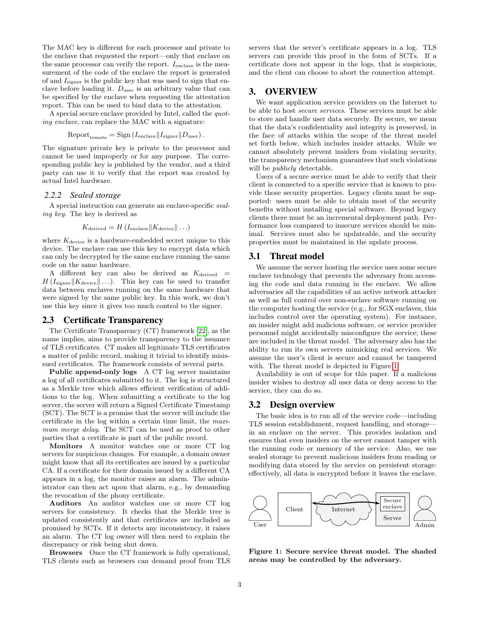The MAC key is different for each processor and private to the enclave that requested the report—only that enclave on the same processor can verify the report.  $I_{\text{enclave}}$  is the measurement of the code of the enclave the report is generated of and  $I<sub>siener</sub>$  is the public key that was used to sign that enclave before loading it.  $D_{user}$  is an arbitrary value that can be specified by the enclave when requesting the attestation report. This can be used to bind data to the attestation.

A special secure enclave provided by Intel, called the quoting enclave, can replace the MAC with a signature:

$$
Report_{remote} = Sign(I_{enclave}||I_{signer}||D_{user}).
$$

The signature private key is private to the processor and cannot be used improperly or for any purpose. The corresponding public key is published by the vendor, and a third party can use it to verify that the report was created by actual Intel hardware.

#### *2.2.2 Sealed storage*

A special instruction can generate an enclave-specific sealing key. The key is derived as

$$
K_{\text{derived}} = H\left(I_{\text{enclave}} \| K_{\text{device}} \| \dots \right)
$$

where  $K_{\text{device}}$  is a hardware-embedded secret unique to this device. The enclave can use this key to encrypt data which can only be decrypted by the same enclave running the same code on the same hardware.

A different key can also be derived as  $K_{\text{derived}}$  =  $H(I_{\text{signer}}||K_{\text{device}}||...)$ . This key can be used to transfer data between enclaves running on the same hardware that were signed by the same public key. In this work, we don't use this key since it gives too much control to the signer.

#### 2.3 Certificate Transparency

The Certificate Transparency (CT) framework [\[22\]](#page-12-6), as the name implies, aims to provide transparency to the issuance of TLS certificates. CT makes all legitimate TLS certificates a matter of public record, making it trivial to identify misissued certificates. The framework consists of several parts.

Public append-only logs A CT log server maintains a log of all certificates submitted to it. The log is structured as a Merkle tree which allows efficient verification of additions to the log. When submitting a certificate to the log server, the server will return a Signed Certificate Timestamp (SCT). The SCT is a promise that the server will include the certificate in the log within a certain time limit, the maximum merge delay. The SCT can be used as proof to other parties that a certificate is part of the public record.

Monitors A monitor watches one or more CT log servers for suspicious changes. For example, a domain owner might know that all its certificates are issued by a particular CA. If a certificate for their domain issued by a different CA appears in a log, the monitor raises an alarm. The administrator can then act upon that alarm, e.g., by demanding the revocation of the phony certificate.

Auditors An auditor watches one or more CT log servers for consistency. It checks that the Merkle tree is updated consistently and that certificates are included as promised by SCTs. If it detects any inconsistency, it raises an alarm. The CT log owner will then need to explain the discrepancy or risk being shut down.

Browsers Once the CT framework is fully operational, TLS clients such as browsers can demand proof from TLS servers that the server's certificate appears in a log. TLS servers can provide this proof in the form of SCTs. If a certificate does not appear in the logs, that is suspicious, and the client can choose to abort the connection attempt.

## <span id="page-2-0"></span>3. OVERVIEW

We want application service providers on the Internet to be able to host secure services. These services must be able to store and handle user data securely. By secure, we mean that the data's confidentiality and integrity is preserved, in the face of attacks within the scope of the threat model set forth below, which includes insider attacks. While we cannot absolutely prevent insiders from violating security, the transparency mechanism guarantees that such violations will be *publicly* detectable.

Users of a secure service must be able to verify that their client is connected to a specific service that is known to provide those security properties. Legacy clients must be supported: users must be able to obtain most of the security benefits without installing special software. Beyond legacy clients there must be an incremental deployment path. Performance loss compared to insecure services should be minimal. Services must also be updateable, and the security properties must be maintained in the update process.

#### 3.1 Threat model

We assume the server hosting the service uses some secure enclave technology that prevents the adversary from accessing the code and data running in the enclave. We allow adversaries all the capabilities of an active network attacker as well as full control over non-enclave software running on the computer hosting the service (e.g., for SGX enclaves, this includes control over the operating system). For instance, an insider might add malicious software, or service provider personnel might accidentally misconfigure the service; these are included in the threat model. The adversary also has the ability to run its own servers mimicking real services. We assume the user's client is secure and cannot be tampered with. The threat model is depicted in Figure [1.](#page-2-1)

Availability is out of scope for this paper. If a malicious insider wishes to destroy all user data or deny access to the service, they can do so.

## 3.2 Design overview

The basic idea is to run all of the service code—including TLS session establishment, request handling, and storage in an enclave on the server. This provides isolation and ensures that even insiders on the server cannot tamper with the running code or memory of the service. Also, we use sealed storage to prevent malicious insiders from reading or modifying data stored by the service on persistent storage: effectively, all data is encrypted before it leaves the enclave.



<span id="page-2-1"></span>Figure 1: Secure service threat model. The shaded areas may be controlled by the adversary.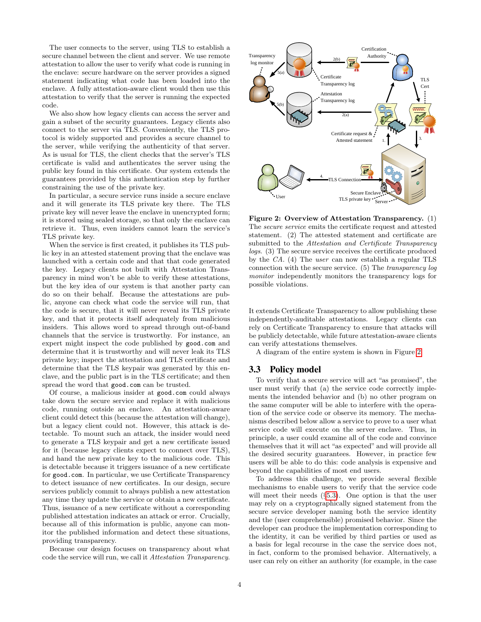The user connects to the server, using TLS to establish a secure channel between the client and server. We use remote attestation to allow the user to verify what code is running in the enclave: secure hardware on the server provides a signed statement indicating what code has been loaded into the enclave. A fully attestation-aware client would then use this attestation to verify that the server is running the expected code.

We also show how legacy clients can access the server and gain a subset of the security guarantees. Legacy clients also connect to the server via TLS. Conveniently, the TLS protocol is widely supported and provides a secure channel to the server, while verifying the authenticity of that server. As is usual for TLS, the client checks that the server's TLS certificate is valid and authenticates the server using the public key found in this certificate. Our system extends the guarantees provided by this authentication step by further constraining the use of the private key.

In particular, a secure service runs inside a secure enclave and it will generate its TLS private key there. The TLS private key will never leave the enclave in unencrypted form; it is stored using sealed storage, so that only the enclave can retrieve it. Thus, even insiders cannot learn the service's TLS private key.

When the service is first created, it publishes its TLS public key in an attested statement proving that the enclave was launched with a certain code and that that code generated the key. Legacy clients not built with Attestation Transparency in mind won't be able to verify these attestations, but the key idea of our system is that another party can do so on their behalf. Because the attestations are public, anyone can check what code the service will run, that the code is secure, that it will never reveal its TLS private key, and that it protects itself adequately from malicious insiders. This allows word to spread through out-of-band channels that the service is trustworthy. For instance, an expert might inspect the code published by good.com and determine that it is trustworthy and will never leak its TLS private key; inspect the attestation and TLS certificate and determine that the TLS keypair was generated by this enclave, and the public part is in the TLS certificate; and then spread the word that good.com can be trusted.

Of course, a malicious insider at good.com could always take down the secure service and replace it with malicious code, running outside an enclave. An attestation-aware client could detect this (because the attestation will change), but a legacy client could not. However, this attack is detectable. To mount such an attack, the insider would need to generate a TLS keypair and get a new certificate issued for it (because legacy clients expect to connect over TLS), and hand the new private key to the malicious code. This is detectable because it triggers issuance of a new certificate for good.com. In particular, we use Certificate Transparency to detect issuance of new certificates. In our design, secure services publicly commit to always publish a new attestation any time they update the service or obtain a new certificate. Thus, issuance of a new certificate without a corresponding published attestation indicates an attack or error. Crucially, because all of this information is public, anyone can monitor the published information and detect these situations, providing transparency.

Because our design focuses on transparency about what code the service will run, we call it Attestation Transparency.



<span id="page-3-0"></span>Figure 2: Overview of Attestation Transparency. (1) The secure service emits the certificate request and attested statement. (2) The attested statement and certificate are submitted to the Attestation and Certificate Transparency logs. (3) The secure service receives the certificate produced by the CA. (4) The user can now establish a regular TLS connection with the secure service. (5) The transparency log monitor independently monitors the transparency logs for possible violations.

It extends Certificate Transparency to allow publishing these independently-auditable attestations. Legacy clients can rely on Certificate Transparency to ensure that attacks will be publicly detectable, while future attestation-aware clients can verify attestations themselves.

A diagram of the entire system is shown in Figure [2.](#page-3-0)

## 3.3 Policy model

To verify that a secure service will act "as promised", the user must verify that (a) the service code correctly implements the intended behavior and (b) no other program on the same computer will be able to interfere with the operation of the service code or observe its memory. The mechanisms described below allow a service to prove to a user what service code will execute on the server enclave. Thus, in principle, a user could examine all of the code and convince themselves that it will act "as expected" and will provide all the desired security guarantees. However, in practice few users will be able to do this: code analysis is expensive and beyond the capabilities of most end users.

To address this challenge, we provide several flexible mechanisms to enable users to verify that the service code will meet their needs  $(\S 5.3)$  $(\S 5.3)$ . One option is that the user may rely on a cryptographically signed statement from the secure service developer naming both the service identity and the (user comprehensible) promised behavior. Since the developer can produce the implementation corresponding to the identity, it can be verified by third parties or used as a basis for legal recourse in the case the service does not, in fact, conform to the promised behavior. Alternatively, a user can rely on either an authority (for example, in the case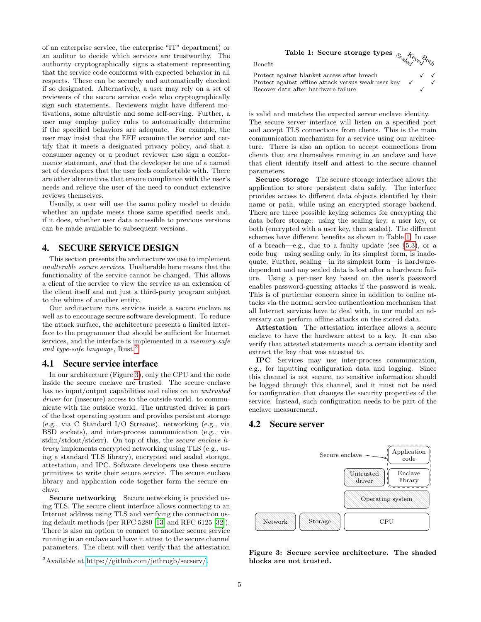of an enterprise service, the enterprise "IT" department) or an auditor to decide which services are trustworthy. The authority cryptographically signs a statement representing that the service code conforms with expected behavior in all respects. These can be securely and automatically checked if so designated. Alternatively, a user may rely on a set of reviewers of the secure service code who cryptographically sign such statements. Reviewers might have different motivations, some altruistic and some self-serving. Further, a user may employ policy rules to automatically determine if the specified behaviors are adequate. For example, the user may insist that the EFF examine the service and certify that it meets a designated privacy policy, and that a consumer agency or a product reviewer also sign a conformance statement, and that the developer be one of a named set of developers that the user feels comfortable with. There are other alternatives that ensure compliance with the user's needs and relieve the user of the need to conduct extensive reviews themselves.

Usually, a user will use the same policy model to decide whether an update meets those same specified needs and, if it does, whether user data accessible to previous versions can be made available to subsequent versions.

## <span id="page-4-0"></span>4. SECURE SERVICE DESIGN

This section presents the architecture we use to implement unalterable secure services. Unalterable here means that the functionality of the service cannot be changed. This allows a client of the service to view the service as an extension of the client itself and not just a third-party program subject to the whims of another entity.

Our architecture runs services inside a secure enclave as well as to encourage secure software development. To reduce the attack surface, the architecture presents a limited interface to the programmer that should be sufficient for Internet services, and the interface is implemented in a *memory-safe* and type-safe language, Rust.<sup>[3](#page-4-1)</sup>

#### 4.1 Secure service interface

In our architecture (Figure [3\)](#page-4-2), only the CPU and the code inside the secure enclave are trusted. The secure enclave has no input/output capabilities and relies on an *untrusted* driver for (insecure) access to the outside world. to communicate with the outside world. The untrusted driver is part of the host operating system and provides persistent storage (e.g., via C Standard I/O Streams), networking (e.g., via BSD sockets), and inter-process communication (e.g., via stdin/stdout/stderr). On top of this, the secure enclave library implements encrypted networking using TLS (e.g., using a standard TLS library), encrypted and sealed storage, attestation, and IPC. Software developers use these secure primitives to write their secure service. The secure enclave library and application code together form the secure enclave.

Secure networking Secure networking is provided using TLS. The secure client interface allows connecting to an Internet address using TLS and verifying the connection using default methods (per RFC 5280 [\[13\]](#page-11-4) and RFC 6125 [\[32\]](#page-12-7)). There is also an option to connect to another secure service running in an enclave and have it attest to the secure channel parameters. The client will then verify that the attestation

<span id="page-4-3"></span>Table 1: Secure storage types  $\delta_{\delta_{Q} \delta_{Q} \delta_{Q} \delta_{Q}} \delta_{Q_{Q}}$ 

Benefit

| Protect against blanket access after breach         |  |
|-----------------------------------------------------|--|
| Protect against offline attack versus weak user key |  |
| Recover data after hardware failure                 |  |

is valid and matches the expected server enclave identity. The secure server interface will listen on a specified port and accept TLS connections from clients. This is the main communication mechanism for a service using our architecture. There is also an option to accept connections from clients that are themselves running in an enclave and have that client identify itself and attest to the secure channel parameters.

Secure storage The secure storage interface allows the application to store persistent data safely. The interface provides access to different data objects identified by their name or path, while using an encrypted storage backend. There are three possible keying schemes for encrypting the data before storage: using the sealing key, a user key, or both (encrypted with a user key, then sealed). The different schemes have different benefits as shown in Table [1.](#page-4-3) In case of a breach—e.g., due to a faulty update (see §[5.3\)](#page-6-0), or a code bug—using sealing only, in its simplest form, is inadequate. Further, sealing—in its simplest form—is hardwaredependent and any sealed data is lost after a hardware failure. Using a per-user key based on the user's password enables password-guessing attacks if the password is weak. This is of particular concern since in addition to online attacks via the normal service authentication mechanism that all Internet services have to deal with, in our model an adversary can perform offline attacks on the stored data.

Attestation The attestation interface allows a secure enclave to have the hardware attest to a key. It can also verify that attested statements match a certain identity and extract the key that was attested to.

IPC Services may use inter-process communication, e.g., for inputting configuration data and logging. Since this channel is not secure, no sensitive information should be logged through this channel, and it must not be used for configuration that changes the security properties of the service. Instead, such configuration needs to be part of the enclave measurement.

## 4.2 Secure server



<span id="page-4-2"></span>Figure 3: Secure service architecture. The shaded blocks are not trusted.

<span id="page-4-1"></span><sup>3</sup>Available at [https://github.com/jethrogb/secserv/.](https://github.com/jethrogb/secserv/)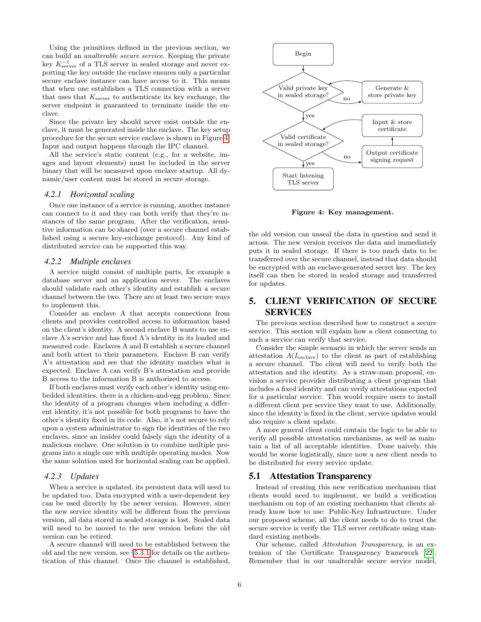Using the primitives defined in the previous section, we can build an unalterable secure service. Keeping the private key  $K_{\text{server}}^{-1}$  of a TLS server in sealed storage and never exporting the key outside the enclave ensures only a particular secure enclave instance can have access to it. This means that when one establishes a TLS connection with a server that uses that  $K_{\text{server}}$  to authenticate its key exchange, the server endpoint is guaranteed to terminate inside the enclave.

Since the private key should never exist outside the enclave, it must be generated inside the enclave. The key setup procedure for the secure service enclave is shown in Figure [4.](#page-5-1) Input and output happens through the IPC channel.

All the service's static content (e.g., for a website, images and layout elements) must be included in the server binary that will be measured upon enclave startup. All dynamic/user content must be stored in secure storage.

#### *4.2.1 Horizontal scaling*

Once one instance of a service is running, another instance can connect to it and they can both verify that they're instances of the same program. After the verification, sensitive information can be shared (over a secure channel established using a secure key-exchange protocol). Any kind of distributed service can be supported this way.

## *4.2.2 Multiple enclaves*

A service might consist of multiple parts, for example a database server and an application server. The enclaves should validate each other's identity and establish a secure channel between the two. There are at least two secure ways to implement this.

Consider an enclave A that accepts connections from clients and provides controlled access to information based on the client's identity. A second enclave B wants to use enclave A's service and has fixed A's identity in its loaded and measured code. Enclaves A and B establish a secure channel and both attest to their parameters. Enclave B can verify A's attestation and see that the identity matches what is expected. Enclave A can verify B's attestation and provide B access to the information B is authorized to access.

If both enclaves must verify each other's identity using embedded identities, there is a chicken-and-egg problem. Since the identity of a program changes when including a different identity, it's not possible for both programs to have the other's identity fixed in its code. Also, it's not secure to rely upon a system administrator to sign the identities of the two enclaves, since an insider could falsely sign the identity of a malicious enclave. One solution is to combine multiple programs into a single one with multiple operating modes. Now the same solution used for horizontal scaling can be applied.

#### *4.2.3 Updates*

When a service is updated, its persistent data will need to be updated too. Data encrypted with a user-dependent key can be used directly by the newer version. However, since the new service identity will be different from the previous version, all data stored in sealed storage is lost. Sealed data will need to be moved to the new version before the old version can be retired.

A secure channel will need to be established between the old and the new version, see §[5.3.1](#page-7-0) for details on the authentication of this channel. Once the channel is established,



<span id="page-5-1"></span>Figure 4: Key management.

the old version can unseal the data in question and send it across. The new version receives the data and immediately puts it in sealed storage. If there is too much data to be transferred over the secure channel, instead that data should be encrypted with an enclave-generated secret key. The key itself can then be stored in sealed storage and transferred for updates.

# <span id="page-5-0"></span>5. CLIENT VERIFICATION OF SECURE SERVICES

The previous section described how to construct a secure service. This section will explain how a client connecting to such a service can verify that service.

Consider the simple scenario in which the server sends an attestation  $A(I_{\text{enclave}})$  to the client as part of establishing a secure channel. The client will need to verify both the attestation and the identity. As a straw-man proposal, envision a service provider distributing a client program that includes a fixed identity and can verify attestations expected for a particular service. This would require users to install a different client per service they want to use. Additionally, since the identity is fixed in the client, service updates would also require a client update.

A more general client could contain the logic to be able to verify all possible attestation mechanisms, as well as maintain a list of all acceptable identities. Done naively, this would be worse logistically, since now a new client needs to be distributed for every service update.

## 5.1 Attestation Transparency

Instead of creating this new verification mechanism that clients would need to implement, we build a verification mechanism on top of an existing mechanism that clients already know how to use: Public-Key Infrastructure. Under our proposed scheme, all the client needs to do to trust the secure service is verify the TLS server certificate using standard existing methods.

Our scheme, called Attestation Transparency, is an extension of the Certificate Transparency framework [\[22\]](#page-12-6). Remember that in our unalterable secure service model,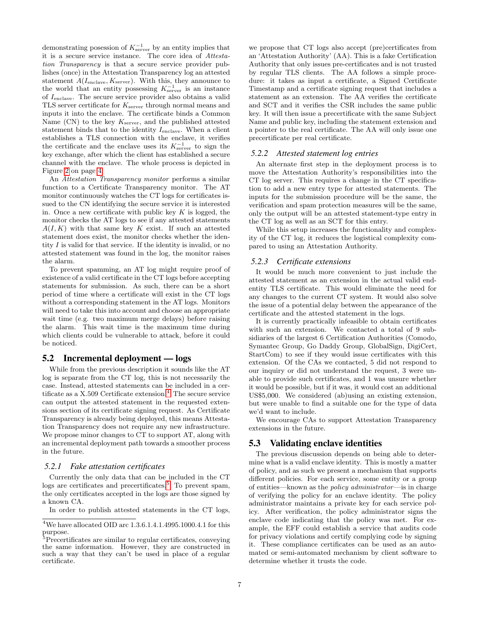demonstrating posession of  $K_{\text{server}}^{-1}$  by an entity implies that it is a secure service instance. The core idea of Attestation Transparency is that a secure service provider publishes (once) in the Attestation Transparency log an attested statement  $A(I_{\text{enclave}}, K_{\text{server}})$ . With this, they announce to the world that an entity possessing  $K_{\text{server}}^{-1}$  is an instance of Ienclave. The secure service provider also obtains a valid TLS server certificate for  $K_{\text{server}}$  through normal means and inputs it into the enclave. The certificate binds a Common Name  $(CN)$  to the key  $K_{\text{server}}$ , and the published attested statement binds that to the identity  $I_{\text{enclave}}$ . When a client establishes a TLS connection with the enclave, it verifies the certificate and the enclave uses its  $K_{\text{server}}^{-1}$  to sign the key exchange, after which the client has established a secure channel with the enclave. The whole process is depicted in Figure [2](#page-3-0) on page [4.](#page-3-0)

An Attestation Transparency monitor performs a similar function to a Certificate Transparency monitor. The AT monitor continuously watches the CT logs for certificates issued to the CN identifying the secure service it is interested in. Once a new certificate with public key  $K$  is logged, the monitor checks the AT logs to see if any attested statements  $A(I, K)$  with that same key K exist. If such an attested statement does exist, the monitor checks whether the identity  $I$  is valid for that service. If the identity is invalid, or no attested statement was found in the log, the monitor raises the alarm.

To prevent spamming, an AT log might require proof of existence of a valid certificate in the CT logs before accepting statements for submission. As such, there can be a short period of time where a certificate will exist in the CT logs without a corresponding statement in the AT logs. Monitors will need to take this into account and choose an appropriate wait time (e.g. two maximum merge delays) before raising the alarm. This wait time is the maximum time during which clients could be vulnerable to attack, before it could be noticed.

## 5.2 Incremental deployment — logs

While from the previous description it sounds like the AT log is separate from the CT log, this is not necessarily the case. Instead, attested statements can be included in a certificate as a  $X.509$  Certificate extension.<sup>[4](#page-6-1)</sup> The secure service can output the attested statement in the requested extensions section of its certificate signing request. As Certificate Transparency is already being deployed, this means Attestation Transparency does not require any new infrastructure. We propose minor changes to CT to support AT, along with an incremental deployment path towards a smoother process in the future.

#### *5.2.1 Fake attestation certificates*

Currently the only data that can be included in the CT logs are certificates and precertificates.<sup>[5](#page-6-2)</sup> To prevent spam, the only certificates accepted in the logs are those signed by a known CA.

In order to publish attested statements in the CT logs,

we propose that CT logs also accept (pre)certificates from an 'Attestation Authority' (AA). This is a fake Certification Authority that only issues pre-certificates and is not trusted by regular TLS clients. The AA follows a simple procedure: it takes as input a certificate, a Signed Certificate Timestamp and a certificate signing request that includes a statement as an extension. The AA verifies the certificate and SCT and it verifies the CSR includes the same public key. It will then issue a precertificate with the same Subject Name and public key, including the statement extension and a pointer to the real certificate. The AA will only issue one precertificate per real certificate.

#### *5.2.2 Attested statement log entries*

An alternate first step in the deployment process is to move the Attestation Authority's responsibilities into the CT log server. This requires a change in the CT specification to add a new entry type for attested statements. The inputs for the submission procedure will be the same, the verification and spam protection measures will be the same, only the output will be an attested statement-type entry in the CT log as well as an SCT for this entry.

While this setup increases the functionality and complexity of the CT log, it reduces the logistical complexity compared to using an Attestation Authority.

#### *5.2.3 Certificate extensions*

It would be much more convenient to just include the attested statement as an extension in the actual valid endentity TLS certificate. This would eliminate the need for any changes to the current CT system. It would also solve the issue of a potential delay between the appearance of the certificate and the attested statement in the logs.

It is currently practically infeasible to obtain certificates with such an extension. We contacted a total of 9 subsidiaries of the largest 6 Certification Authorities (Comodo, Symantec Group, Go Daddy Group, GlobalSign, DigiCert, StartCom) to see if they would issue certificates with this extension. Of the CAs we contacted, 5 did not respond to our inquiry or did not understand the request, 3 were unable to provide such certificates, and 1 was unsure whether it would be possible, but if it was, it would cost an additional US\$5,000. We considered (ab)using an existing extension, but were unable to find a suitable one for the type of data we'd want to include.

We encourage CAs to support Attestation Transparency extensions in the future.

#### <span id="page-6-0"></span>5.3 Validating enclave identities

The previous discussion depends on being able to determine what is a valid enclave identity. This is mostly a matter of policy, and as such we present a mechanism that supports different policies. For each service, some entity or a group of entities—known as the policy administrator—is in charge of verifying the policy for an enclave identity. The policy administrator maintains a private key for each service policy. After verification, the policy administrator signs the enclave code indicating that the policy was met. For example, the EFF could establish a service that audits code for privacy violations and certify complying code by signing it. These compliance certificates can be used as an automated or semi-automated mechanism by client software to determine whether it trusts the code.

<span id="page-6-1"></span> ${}^{4}{\rm We}$  have allocated OID arc 1.3.6.1.4.1.4995.1000.4.1 for this purpose.

<span id="page-6-2"></span><sup>5</sup>Precertificates are similar to regular certificates, conveying the same information. However, they are constructed in such a way that they can't be used in place of a regular certificate.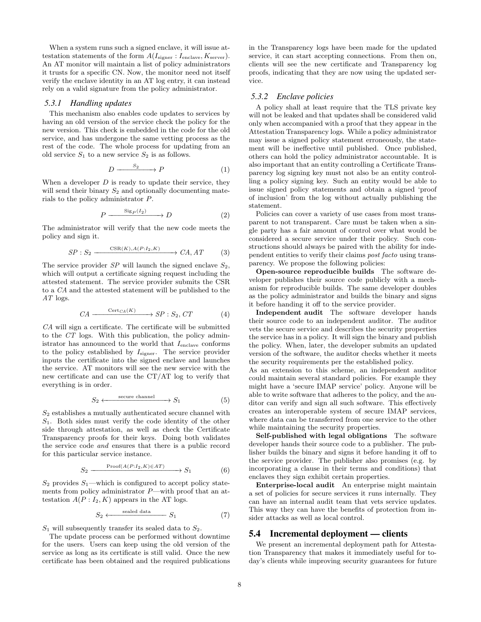When a system runs such a signed enclave, it will issue attestation statements of the form  $A(I_{\text{signer}} : I_{\text{enclave}}, K_{\text{server}})$ . An AT monitor will maintain a list of policy administrators it trusts for a specific CN. Now, the monitor need not itself verify the enclave identity in an AT log entry, it can instead rely on a valid signature from the policy administrator.

#### <span id="page-7-0"></span>*5.3.1 Handling updates*

This mechanism also enables code updates to services by having an old version of the service check the policy for the new version. This check is embedded in the code for the old service, and has undergone the same vetting process as the rest of the code. The whole process for updating from an old service  $S_1$  to a new service  $S_2$  is as follows.

$$
D \xrightarrow{S_2} P \tag{1}
$$

When a developer  $D$  is ready to update their service, they will send their binary  $S_2$  and optionally documenting materials to the policy administrator P.

$$
P \xrightarrow{\text{Sig}_P(I_2)} D \tag{2}
$$

The administrator will verify that the new code meets the policy and sign it.

$$
SP: S_2 \xrightarrow{\text{CSR}(K), A(P:I_2, K)} CA, AT \qquad (3)
$$

The service provider  $SP$  will launch the signed enclave  $S_2$ , which will output a certificate signing request including the attested statement. The service provider submits the CSR to a CA and the attested statement will be published to the AT logs.

$$
CA \xrightarrow{\text{Cert}_{CA}(K)} \text{SP} : S_2, CT \tag{4}
$$

CA will sign a certificate. The certificate will be submitted to the CT logs. With this publication, the policy administrator has announced to the world that  $I_{\text{enclave}}$  conforms to the policy established by  $I<sub>signer</sub>$ . The service provider inputs the certificate into the signed enclave and launches the service. AT monitors will see the new service with the new certificate and can use the CT/AT log to verify that everything is in order.

$$
S_2 \xleftarrow{\text{secure channel}} S_1 \tag{5}
$$

 $S_2$  establishes a mutually authenticated secure channel with  $S_1$ . Both sides must verify the code identity of the other side through attestation, as well as check the Certificate Transparency proofs for their keys. Doing both validates the service code and ensures that there is a public record for this particular service instance.

$$
S_2 \xrightarrow{\text{Proof}(A(P:I_2,K)\in AT)} S_1 \tag{6}
$$

 $S_2$  provides  $S_1$ —which is configured to accept policy statements from policy administrator P—with proof that an attestation  $A(P: I_2, K)$  appears in the AT logs.

$$
S_2 \longleftarrow \xrightarrow{\text{sealed data}} S_1 \tag{7}
$$

 $S_1$  will subsequently transfer its sealed data to  $S_2$ .

The update process can be performed without downtime for the users. Users can keep using the old version of the service as long as its certificate is still valid. Once the new certificate has been obtained and the required publications in the Transparency logs have been made for the updated service, it can start accepting connections. From then on, clients will see the new certificate and Transparency log proofs, indicating that they are now using the updated service.

#### *5.3.2 Enclave policies*

A policy shall at least require that the TLS private key will not be leaked and that updates shall be considered valid only when accompanied with a proof that they appear in the Attestation Transparency logs. While a policy administrator may issue a signed policy statement erroneously, the statement will be ineffective until published. Once published, others can hold the policy administrator accountable. It is also important that an entity controlling a Certificate Transparency log signing key must not also be an entity controlling a policy signing key. Such an entity would be able to issue signed policy statements and obtain a signed 'proof of inclusion' from the log without actually publishing the statement.

Policies can cover a variety of use cases from most transparent to not transparent. Care must be taken when a single party has a fair amount of control over what would be considered a secure service under their policy. Such constructions should always be paired with the ability for independent entities to verify their claims post facto using transparency. We propose the following policies:

Open-source reproducible builds The software developer publishes their source code publicly with a mechanism for reproducible builds. The same developer doubles as the policy administrator and builds the binary and signs it before handing it off to the service provider.

Independent audit The software developer hands their source code to an independent auditor. The auditor vets the secure service and describes the security properties the service has in a policy. It will sign the binary and publish the policy. When, later, the developer submits an updated version of the software, the auditor checks whether it meets the security requirements per the established policy.

As an extension to this scheme, an independent auditor could maintain several standard policies. For example they might have a 'secure IMAP service' policy. Anyone will be able to write software that adheres to the policy, and the auditor can verify and sign all such software. This effectively creates an interoperable system of secure IMAP services, where data can be transferred from one service to the other while maintaining the security properties.

Self-published with legal obligations The software developer hands their source code to a publisher. The publisher builds the binary and signs it before handing it off to the service provider. The publisher also promises (e.g. by incorporating a clause in their terms and conditions) that enclaves they sign exhibit certain properties.

Enterprise-local audit An enterprise might maintain a set of policies for secure services it runs internally. They can have an internal audit team that vets service updates. This way they can have the benefits of protection from insider attacks as well as local control.

# 5.4 Incremental deployment — clients

We present an incremental deployment path for Attestation Transparency that makes it immediately useful for today's clients while improving security guarantees for future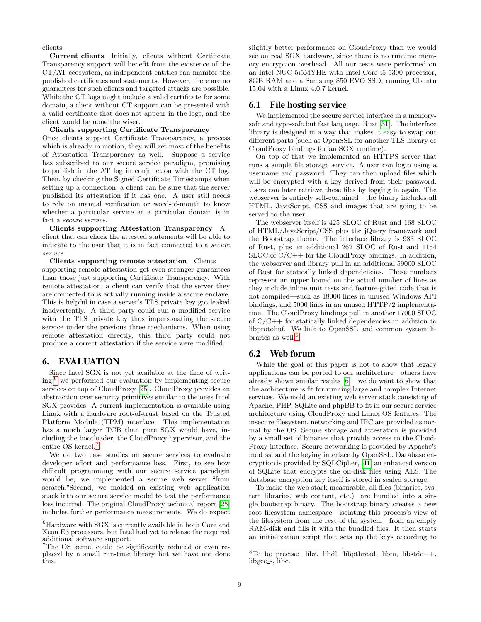clients.

Current clients Initially, clients without Certificate Transparency support will benefit from the existence of the CT/AT ecosystem, as independent entities can monitor the published certificates and statements. However, there are no guarantees for such clients and targeted attacks are possible. While the CT logs might include a valid certificate for some domain, a client without CT support can be presented with a valid certificate that does not appear in the logs, and the client would be none the wiser.

#### Clients supporting Certificate Transparency

Once clients support Certificate Transparency, a process which is already in motion, they will get most of the benefits of Attestation Transparency as well. Suppose a service has subscribed to our secure service paradigm, promising to publish in the AT log in conjunction with the CT log. Then, by checking the Signed Certificate Timestamps when setting up a connection, a client can be sure that the server published its attestation if it has one. A user still needs to rely on manual verification or word-of-mouth to know whether a particular service at a particular domain is in fact a secure service.

Clients supporting Attestation Transparency A client that can check the attested statements will be able to indicate to the user that it is in fact connected to a secure service.

Clients supporting remote attestation Clients supporting remote attestation get even stronger guarantees than those just supporting Certificate Transparency. With remote attestation, a client can verify that the server they are connected to is actually running inside a secure enclave. This is helpful in case a server's TLS private key got leaked inadvertently. A third party could run a modified service with the TLS private key thus impersonating the secure service under the previous three mechanisms. When using remote attestation directly, this third party could not produce a correct attestation if the service were modified.

## <span id="page-8-0"></span>6. EVALUATION

Since Intel SGX is not yet available at the time of writ- $ing<sub>i</sub><sup>6</sup>$  $ing<sub>i</sub><sup>6</sup>$  $ing<sub>i</sub><sup>6</sup>$  we performed our evaluation by implementing secure services on top of CloudProxy [\[25\]](#page-12-8). CloudProxy provides an abstraction over security primitives similar to the ones Intel SGX provides. A current implementation is available using Linux with a hardware root-of-trust based on the Trusted Platform Module (TPM) interface. This implementation has a much larger TCB than pure SGX would have, including the bootloader, the CloudProxy hypervisor, and the entire OS kernel.[7](#page-8-2)

We do two case studies on secure services to evaluate developer effort and performance loss. First, to see how difficult programming with our secure service paradigm would be, we implemented a secure web server "from scratch."Second, we molded an existing web application stack into our secure service model to test the performance loss incurred. The original CloudProxy technical report [\[25\]](#page-12-8) includes further performance measurements. We do expect

slightly better performance on CloudProxy than we would see on real SGX hardware, since there is no runtime memory encryption overhead. All our tests were performed on an Intel NUC 5i5MYHE with Intel Core i5-5300 processor, 8GB RAM and a Samsung 850 EVO SSD, running Ubuntu 15.04 with a Linux 4.0.7 kernel.

#### 6.1 File hosting service

We implemented the secure service interface in a memorysafe and type-safe but fast language, Rust [\[31\]](#page-12-9). The interface library is designed in a way that makes it easy to swap out different parts (such as OpenSSL for another TLS library or CloudProxy bindings for an SGX runtime).

On top of that we implemented an HTTPS server that runs a simple file storage service. A user can login using a username and password. They can then upload files which will be encrypted with a key derived from their password. Users can later retrieve these files by logging in again. The webserver is entirely self-contained—the binary includes all HTML, JavaScript, CSS and images that are going to be served to the user.

The webserver itself is 425 SLOC of Rust and 168 SLOC of HTML/JavaScript/CSS plus the jQuery framework and the Bootstrap theme. The interface library is 983 SLOC of Rust, plus an additional 262 SLOC of Rust and 1154 SLOC of C/C++ for the CloudProxy bindings. In addition, the webserver and library pull in an additional 59000 SLOC of Rust for statically linked dependencies. These numbers represent an upper bound on the actual number of lines as they include inline unit tests and feature-gated code that is not compiled—such as 18000 lines in unused Windows API bindings, and 5000 lines in an unused HTTP/2 implementation. The CloudProxy bindings pull in another 17000 SLOC of C/C++ for statically linked dependencies in addition to libprotobuf. We link to OpenSSL and common system li-braries as well.<sup>[8](#page-8-3)</sup>

## 6.2 Web forum

While the goal of this paper is not to show that legacy applications can be ported to our architecture—others have already shown similar results [\[6\]](#page-11-5)—we do want to show that the architecture is fit for running large and complex Internet services. We mold an existing web server stack consisting of Apache, PHP, SQLite and phpBB to fit in our secure service architecture using CloudProxy and Linux OS features. The insecure filesystem, networking and IPC are provided as normal by the OS. Secure storage and attestation is provided by a small set of binaries that provide access to the Cloud-Proxy interface. Secure networking is provided by Apache's mod\_ssl and the keying interface by OpenSSL. Database encryption is provided by SQLCipher, [\[41\]](#page-12-10) an enhanced version of SQLite that encrypts the on-disk files using AES. The database encryption key itself is stored in sealed storage.

To make the web stack measurable, all files (binaries, system libraries, web content, etc.) are bundled into a single bootstrap binary. The bootstrap binary creates a new root filesystem namespace—isolating this process's view of the filesystem from the rest of the system—from an empty RAM-disk and fills it with the bundled files. It then starts an initialization script that sets up the keys according to

<span id="page-8-1"></span><sup>&</sup>lt;sup>6</sup>Hardware with SGX is currently available in both Core and Xeon E3 processors, but Intel had yet to release the required additional software support.

<span id="page-8-2"></span><sup>7</sup>The OS kernel could be significantly reduced or even replaced by a small run-time library but we have not done this.

<span id="page-8-3"></span> $8$ To be precise: libz, libdl, libpthread, libm, libstdc++, libgcc\_s, libc.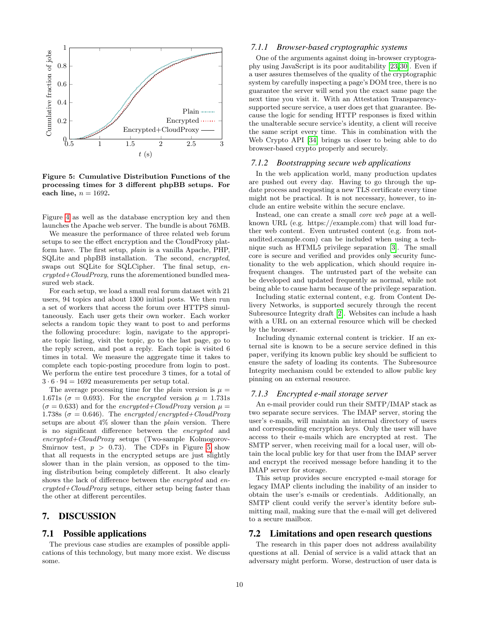

<span id="page-9-2"></span>Figure 5: Cumulative Distribution Functions of the processing times for 3 different phpBB setups. For each line,  $n = 1692$ .

Figure [4](#page-5-1) as well as the database encryption key and then launches the Apache web server. The bundle is about 76MB.

We measure the performance of three related web forum setups to see the effect encryption and the CloudProxy platform have. The first setup, plain is a vanilla Apache, PHP, SQLite and phpBB installation. The second, encrypted, swaps out SQLite for SQLCipher. The final setup, en $crypted+CloudProxy$ , runs the aforementioned bundled measured web stack.

For each setup, we load a small real forum dataset with 21 users, 94 topics and about 1300 initial posts. We then run a set of workers that access the forum over HTTPS simultaneously. Each user gets their own worker. Each worker selects a random topic they want to post to and performs the following procedure: login, navigate to the appropriate topic listing, visit the topic, go to the last page, go to the reply screen, and post a reply. Each topic is visited 6 times in total. We measure the aggregate time it takes to complete each topic-posting procedure from login to post. We perform the entire test procedure 3 times, for a total of  $3 \cdot 6 \cdot 94 = 1692$  measurements per setup total.

The average processing time for the plain version is  $\mu =$ 1.671s ( $\sigma = 0.693$ ). For the *encrypted* version  $\mu = 1.731$ s  $(\sigma = 0.633)$  and for the encrypted+CloudProxy version  $\mu =$ 1.738s ( $\sigma = 0.646$ ). The encrypted/encrypted+CloudProxy setups are about  $4\%$  slower than the *plain* version. There is no significant difference between the encrypted and encrypted+CloudProxy setups (Two-sample Kolmogorov-Smirnov test,  $p > 0.73$ . The CDFs in Figure [5](#page-9-2) show that all requests in the encrypted setups are just slightly slower than in the plain version, as opposed to the timing distribution being completely different. It also clearly shows the lack of difference between the encrypted and encrypted+CloudProxy setups, either setup being faster than the other at different percentiles.

## <span id="page-9-0"></span>7. DISCUSSION

#### 7.1 Possible applications

The previous case studies are examples of possible applications of this technology, but many more exist. We discuss some.

#### *7.1.1 Browser-based cryptographic systems*

One of the arguments against doing in-browser cryptography using JavaScript is its poor auditability [\[23,](#page-12-11)[30\]](#page-12-12). Even if a user assures themselves of the quality of the cryptographic system by carefully inspecting a page's DOM tree, there is no guarantee the server will send you the exact same page the next time you visit it. With an Attestation Transparencysupported secure service, a user does get that guarantee. Because the logic for sending HTTP responses is fixed within the unalterable secure service's identity, a client will receive the same script every time. This in combination with the Web Crypto API [\[34\]](#page-12-13) brings us closer to being able to do browser-based crypto properly and securely.

#### *7.1.2 Bootstrapping secure web applications*

In the web application world, many production updates are pushed out every day. Having to go through the update process and requesting a new TLS certificate every time might not be practical. It is not necessary, however, to include an entire website within the secure enclave.

Instead, one can create a small core web page at a wellknown URL (e.g. https://example.com) that will load further web content. Even untrusted content (e.g. from notaudited.example.com) can be included when using a technique such as HTML5 privilege separation [\[3\]](#page-11-6). The small core is secure and verified and provides only security functionality to the web application, which should require infrequent changes. The untrusted part of the website can be developed and updated frequently as normal, while not being able to cause harm because of the privilege separation.

Including static external content, e.g. from Content Delivery Networks, is supported securely through the recent Subresource Integrity draft [\[2\]](#page-11-7). Websites can include a hash with a URL on an external resource which will be checked by the browser.

Including dynamic external content is trickier. If an external site is known to be a secure service defined in this paper, verifying its known public key should be sufficient to ensure the safety of loading its contents. The Subresource Integrity mechanism could be extended to allow public key pinning on an external resource.

#### *7.1.3 Encrypted e-mail storage server*

An e-mail provider could run their SMTP/IMAP stack as two separate secure services. The IMAP server, storing the user's e-mails, will maintain an internal directory of users and corresponding encryption keys. Only the user will have access to their e-mails which are encrypted at rest. The SMTP server, when receiving mail for a local user, will obtain the local public key for that user from the IMAP server and encrypt the received message before handing it to the IMAP server for storage.

This setup provides secure encrypted e-mail storage for legacy IMAP clients including the inability of an insider to obtain the user's e-mails or credentials. Additionally, an SMTP client could verify the server's identity before submitting mail, making sure that the e-mail will get delivered to a secure mailbox.

## <span id="page-9-1"></span>7.2 Limitations and open research questions

The research in this paper does not address availability questions at all. Denial of service is a valid attack that an adversary might perform. Worse, destruction of user data is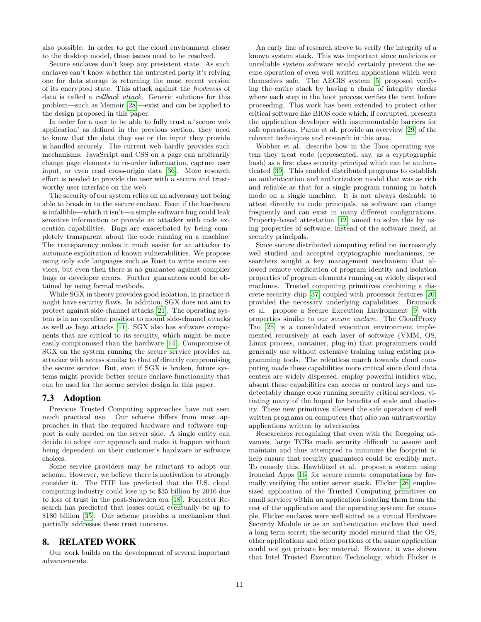also possible. In order to get the cloud environment closer to the desktop model, these issues need to be resolved.

Secure enclaves don't keep any presistent state. As such enclaves can't know whether the untrusted party it's relying one for data storage is returning the most recent version of its encrypted state. This attack against the freshness of data is called a rollback attack. Generic solutions for this problem—such as Memoir [\[28\]](#page-12-14)—exist and can be applied to the design proposed in this paper.

In order for a user to be able to fully trust a 'secure web application' as defined in the previous section, they need to know that the data they see or the input they provide is handled securely. The current web hardly provides such mechanisms. JavaScript and CSS on a page can arbitrarily change page elements to re-order information, capture user input, or even read cross-origin data [\[36\]](#page-12-15). More research effort is needed to provide the user with a secure and trustworthy user interface on the web.

The security of our system relies on an adversary not being able to break in to the secure enclave. Even if the hardware is infallible—which it isn't—a simple software bug could leak sensitive information or provide an attacker with code execution capabilities. Bugs are exacerbated by being completely transparent about the code running on a machine. The transparency makes it much easier for an attacker to automate exploitation of known vulnerabilities. We propose using only safe languages such as Rust to write secure services, but even then there is no guarantee against compiler bugs or developer errors. Further guarantees could be obtained by using formal methods.

While SGX in theory provides good isolation, in practice it might have security flaws. In addition, SGX does not aim to protect against side-channel attacks [\[21\]](#page-12-16). The operating system is in an excellent position to mount side-channel attacks as well as Iago attacks [\[11\]](#page-11-8). SGX also has software components that are critical to its security, which might be more easily compromised than the hardware [\[14\]](#page-11-9). Compromise of SGX on the system running the secure service provides an attacker with access similar to that of directly compromising the secure service. But, even if SGX is broken, future systems might provide better secure enclave functionality that can be used for the secure service design in this paper.

## 7.3 Adoption

Previous Trusted Computing approaches have not seen much practical use. Our scheme differs from most approaches in that the required hardware and software support is only needed on the server side. A single entity can decide to adopt our approach and make it happen without being dependent on their customer's hardware or software choices.

Some service providers may be reluctant to adopt our scheme. However, we believe there is motivation to strongly consider it. The ITIF has predicted that the U.S. cloud computing industry could lose up to \$35 billion by 2016 due to loss of trust in the post-Snowden era [\[18\]](#page-12-17). Forrester Research has predicted that losses could eventually be up to \$180 billion [\[35\]](#page-12-18). Our scheme provides a mechanism that partially addresses these trust concerns.

# <span id="page-10-0"></span>8. RELATED WORK

Our work builds on the development of several important advancements.

An early line of research strove to verify the integrity of a known system stack. This was important since malicious or unreliable system software would certainly prevent the secure operation of even well written applications which were themselves safe. The AEGIS system [\[5\]](#page-11-10) proposed verifying the entire stack by having a chain of integrity checks where each step in the boot process verifies the next before proceeding. This work has been extended to protect other critical software like BIOS code which, if corrupted, presents the application developer with insurmountable barriers for safe operations. Parno et al. provide an overview [\[29\]](#page-12-19) of the relevant techniques and research in this area.

Wobber et al. describe how in the Taos operating system they treat code (represented, say, as a cryptographic hash) as a first class security principal which can be authenticated [\[39\]](#page-12-5). This enabled distributed programs to establish an authentication and authorization model that was as rich and reliable as that for a single program running in batch mode on a single machine. It is not always desirable to attest directly to code principals, as software can change frequently and can exist in many different configurations. Property-based attestation [\[12\]](#page-11-11) aimed to solve this by using properties of software, instead of the software itself, as security principals.

Since secure distributed computing relied on increasingly well studied and accepted cryptographic mechanisms, researchers sought a key management mechanism that allowed remote verification of program identity and isolation properties of program elements running on widely dispersed machines. Trusted computing primitives combining a discrete security chip [\[37\]](#page-12-20) coupled with processor features [\[20\]](#page-12-21) provided the necessary underlying capabilities. Brannock et al. propose a Secure Execution Environment [\[9\]](#page-11-12) with properties similar to our secure enclave. The CloudProxy Tao [\[25\]](#page-12-8) is a consolidated execution environment implemented recursively at each layer of software (VMM, OS, Linux process, container, plug-in) that programmers could generally use without extensive training using existing programming tools. The relentless march towards cloud computing made these capabilities more critical since cloud data centers are widely dispersed, employ powerful insiders who, absent these capabilities can access or control keys and undetectably change code running security critical services, vitiating many of the hoped for benefits of scale and elasticity. These new primitives allowed the safe operation of well written programs on computers that also ran untrustworthy applications written by adversaries.

Researchers recognizing that even with the foregoing advances, large TCBs made security difficult to assure and maintain and thus attempted to minimize the footprint to help ensure that security guarantees could be credibly met. To remedy this, Hawblitzel et al. propose a system using Ironclad Apps [\[16\]](#page-12-22) for secure remote computations by formally verifying the entire server stack. Flicker [\[26\]](#page-12-1) emphasized application of the Trusted Computing primitives on small services within an application isolating them from the rest of the application and the operating system; for example, Flicker enclaves were well suited as a virtual Hardware Security Module or as an authentication enclave that used a long term secret; the security model ensured that the OS, other applications and other portions of the same application could not get private key material. However, it was shown that Intel Trusted Execution Technology, which Flicker is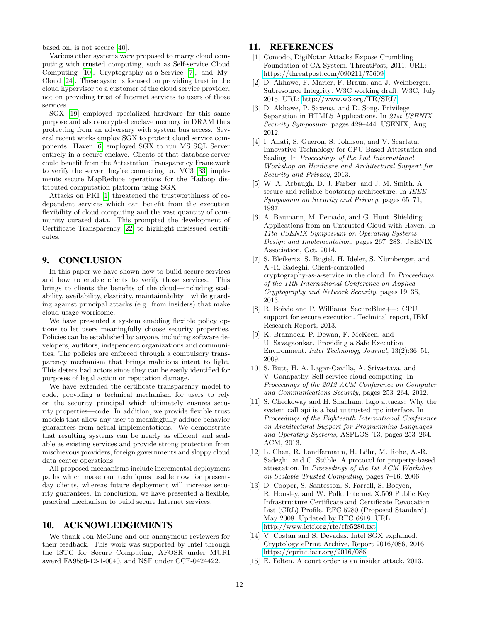based on, is not secure [\[40\]](#page-12-23).

Various other systems were proposed to marry cloud computing with trusted computing, such as Self-service Cloud Computing [\[10\]](#page-11-13), Cryptography-as-a-Service [\[7\]](#page-11-14), and My-Cloud [\[24\]](#page-12-24). These systems focused on providing trust in the cloud hypervisor to a customer of the cloud service provider, not on providing trust of Internet services to users of those services.

SGX [\[19\]](#page-12-4) employed specialized hardware for this same purpose and also encrypted enclave memory in DRAM thus protecting from an adversary with system bus access. Several recent works employ SGX to protect cloud service components. Haven [\[6\]](#page-11-5) employed SGX to run MS SQL Server entirely in a secure enclave. Clients of that database server could benefit from the Attestation Transparency Framework to verify the server they're connecting to. VC3 [\[33\]](#page-12-25) implements secure MapReduce operations for the Hadoop distributed computation platform using SGX.

Attacks on PKI [\[1\]](#page-11-15) threatened the trustworthiness of codependent services which can benefit from the execution flexibility of cloud computing and the vast quantity of community curated data. This prompted the development of Certificate Transparency [\[22\]](#page-12-6) to highlight misissued certificates.

## <span id="page-11-1"></span>9. CONCLUSION

In this paper we have shown how to build secure services and how to enable clients to verify those services. This brings to clients the benefits of the cloud—including scalability, availability, elasticity, maintainability—while guarding against principal attacks (e.g. from insiders) that make cloud usage worrisome.

We have presented a system enabling flexible policy options to let users meaningfully choose security properties. Policies can be established by anyone, including software developers, auditors, independent organizations and communities. The policies are enforced through a compulsory transparency mechanism that brings malicious intent to light. This deters bad actors since they can be easily identified for purposes of legal action or reputation damage.

We have extended the certificate transparency model to code, providing a technical mechanism for users to rely on the security principal which ultimately ensures security properties—code. In addition, we provide flexible trust models that allow any user to meaningfully adduce behavior guarantees from actual implementations. We demonstrate that resulting systems can be nearly as efficient and scalable as existing services and provide strong protection from mischievous providers, foreign governments and sloppy cloud data center operations.

All proposed mechanisms include incremental deployment paths which make our techniques usable now for presentday clients, whereas future deployment will increase security guarantees. In conclusion, we have presented a flexible, practical mechanism to build secure Internet services.

## 10. ACKNOWLEDGEMENTS

We thank Jon McCune and our anonymous reviewers for their feedback. This work was supported by Intel through the ISTC for Secure Computing, AFOSR under MURI award FA9550-12-1-0040, and NSF under CCF-0424422.

## 11. REFERENCES

- <span id="page-11-15"></span>[1] Comodo, DigiNotar Attacks Expose Crumbling Foundation of CA System. ThreatPost, 2011. URL: [https://threatpost.com/090211/75609.](https://threatpost.com/090211/75609)
- <span id="page-11-7"></span>[2] D. Akhawe, F. Marier, F. Braun, and J. Weinberger. Subresource Integrity. W3C working draft, W3C, July 2015. URL: [http://www.w3.org/TR/SRI/.](http://www.w3.org/TR/SRI/)
- <span id="page-11-6"></span>[3] D. Akhawe, P. Saxena, and D. Song. Privilege Separation in HTML5 Applications. In 21st USENIX Security Symposium, pages 429–444. USENIX, Aug. 2012.
- <span id="page-11-2"></span>[4] I. Anati, S. Gueron, S. Johnson, and V. Scarlata. Innovative Technology for CPU Based Attestation and Sealing. In Proceedings of the 2nd International Workshop on Hardware and Architectural Support for Security and Privacy, 2013.
- <span id="page-11-10"></span>[5] W. A. Arbaugh, D. J. Farber, and J. M. Smith. A secure and reliable bootstrap architecture. In IEEE Symposium on Security and Privacy, pages 65–71, 1997.
- <span id="page-11-5"></span>[6] A. Baumann, M. Peinado, and G. Hunt. Shielding Applications from an Untrusted Cloud with Haven. In 11th USENIX Symposium on Operating Systems Design and Implementation, pages 267–283. USENIX Association, Oct. 2014.
- <span id="page-11-14"></span>[7] S. Bleikertz, S. Bugiel, H. Ideler, S. Nürnberger, and A.-R. Sadeghi. Client-controlled cryptography-as-a-service in the cloud. In Proceedings of the 11th International Conference on Applied Cryptography and Network Security, pages 19–36, 2013.
- <span id="page-11-3"></span>[8] R. Boivie and P. Williams. SecureBlue++: CPU support for secure execution. Technical report, IBM Research Report, 2013.
- <span id="page-11-12"></span>[9] K. Brannock, P. Dewan, F. McKeen, and U. Savagaonkar. Providing a Safe Execution Environment. Intel Technology Journal, 13(2):36–51, 2009.
- <span id="page-11-13"></span>[10] S. Butt, H. A. Lagar-Cavilla, A. Srivastava, and V. Ganapathy. Self-service cloud computing. In Proceedings of the 2012 ACM Conference on Computer and Communications Security, pages 253–264, 2012.
- <span id="page-11-8"></span>[11] S. Checkoway and H. Shacham. Iago attacks: Why the system call api is a bad untrusted rpc interface. In Proceedings of the Eighteenth International Conference on Architectural Support for Programming Languages and Operating Systems, ASPLOS '13, pages 253–264. ACM, 2013.
- <span id="page-11-11"></span>[12] L. Chen, R. Landfermann, H. Löhr, M. Rohe, A.-R. Sadeghi, and C. Stüble. A protocol for property-based attestation. In Proceedings of the 1st ACM Workshop on Scalable Trusted Computing, pages 7–16, 2006.
- <span id="page-11-4"></span>[13] D. Cooper, S. Santesson, S. Farrell, S. Boeven, R. Housley, and W. Polk. Internet X.509 Public Key Infrastructure Certificate and Certificate Revocation List (CRL) Profile. RFC 5280 (Proposed Standard), May 2008. Updated by RFC 6818. URL: [http://www.ietf.org/rfc/rfc5280.txt.](http://www.ietf.org/rfc/rfc5280.txt)
- <span id="page-11-9"></span>[14] V. Costan and S. Devadas. Intel SGX explained. Cryptology ePrint Archive, Report 2016/086, 2016. [https://eprint.iacr.org/2016/086.](https://eprint.iacr.org/2016/086)
- <span id="page-11-0"></span>[15] E. Felten. A court order is an insider attack, 2013.